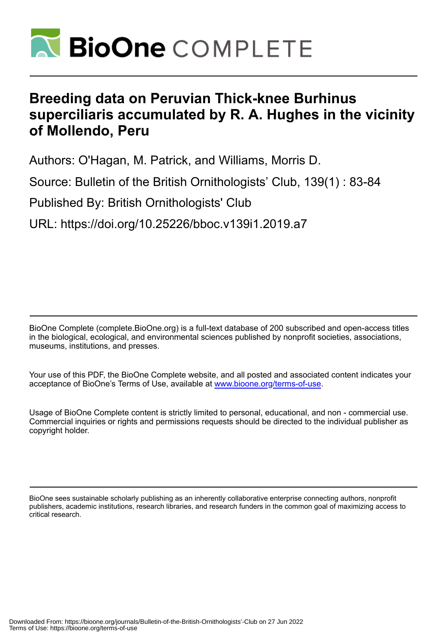

# **Breeding data on Peruvian Thick-knee Burhinus superciliaris accumulated by R. A. Hughes in the vicinity of Mollendo, Peru**

Authors: O'Hagan, M. Patrick, and Williams, Morris D.

Source: Bulletin of the British Ornithologists' Club, 139(1) : 83-84

Published By: British Ornithologists' Club

URL: https://doi.org/10.25226/bboc.v139i1.2019.a7

BioOne Complete (complete.BioOne.org) is a full-text database of 200 subscribed and open-access titles in the biological, ecological, and environmental sciences published by nonprofit societies, associations, museums, institutions, and presses.

Your use of this PDF, the BioOne Complete website, and all posted and associated content indicates your acceptance of BioOne's Terms of Use, available at www.bioone.org/terms-of-use.

Usage of BioOne Complete content is strictly limited to personal, educational, and non - commercial use. Commercial inquiries or rights and permissions requests should be directed to the individual publisher as copyright holder.

BioOne sees sustainable scholarly publishing as an inherently collaborative enterprise connecting authors, nonprofit publishers, academic institutions, research libraries, and research funders in the common goal of maximizing access to critical research.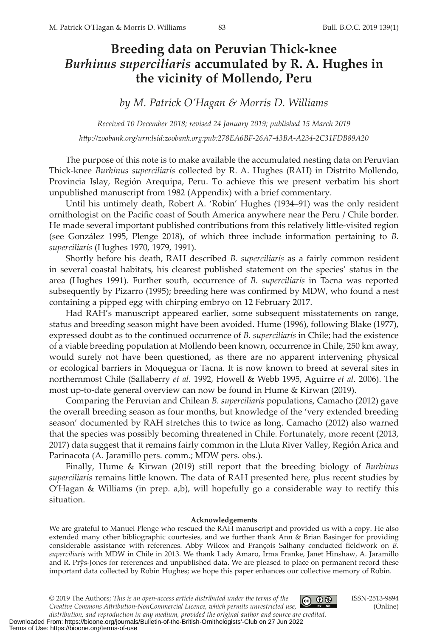## **Breeding data on Peruvian Thick-knee**  *Burhinus superciliaris* **accumulated by R. A. Hughes in the vicinity of Mollendo, Peru**

*by M. Patrick O'Hagan & Morris D. Williams*

*Received 10 December 2018; revised 24 January 2019; published 15 March 2019 [htp://zoobank.org/u](http://zoobank.org/urn:lsid:zoobank.org:pub:30C37132-7B59-435B-A85B-B74D808ECFFE )rn:lsid:zoobank.org:pub:278EA6BF-26A7-43BA-A234-2C31FDB89A20*

The purpose of this note is to make available the accumulated nesting data on Peruvian Thick-knee *Burhinus superciliaris* collected by R. A. Hughes (RAH) in Distrito Mollendo, Provincia Islay, Región Arequipa, Peru. To achieve this we present verbatim his short unpublished manuscript from 1982 (Appendix) with a brief commentary.

Until his untimely death, Robert A. 'Robin' Hughes (1934–91) was the only resident ornithologist on the Pacifc coast of South America anywhere near the Peru / Chile border. He made several important published contributions from this relatively litle-visited region (see González 1995, Plenge 2018), of which three include information pertaining to *B. superciliaris* (Hughes 1970, 1979, 1991).

Shortly before his death, RAH described *B. superciliaris* as a fairly common resident in several coastal habitats, his clearest published statement on the species' status in the area (Hughes 1991). Further south, occurrence of *B. superciliaris* in Tacna was reported subsequently by Pizarro (1995); breeding here was confrmed by MDW, who found a nest containing a pipped egg with chirping embryo on 12 February 2017.

Had RAH's manuscript appeared earlier, some subsequent misstatements on range, status and breeding season might have been avoided. Hume (1996), following Blake (1977), expressed doubt as to the continued occurrence of *B. superciliaris* in Chile; had the existence of a viable breeding population at Mollendo been known, occurrence in Chile, 250 km away, would surely not have been questioned, as there are no apparent intervening physical or ecological barriers in Moquegua or Tacna. It is now known to breed at several sites in northernmost Chile (Sallaberry *et al*. 1992, Howell & Webb 1995, Aguirre *et al*. 2006). The most up-to-date general overview can now be found in Hume & Kirwan (2019).

Comparing the Peruvian and Chilean *B. superciliaris* populations, Camacho (2012) gave the overall breeding season as four months, but knowledge of the 'very extended breeding season' documented by RAH stretches this to twice as long. Camacho (2012) also warned that the species was possibly becoming threatened in Chile. Fortunately, more recent (2013, 2017) data suggest that it remains fairly common in the Lluta River Valley, Región Arica and Parinacota (A. Jaramillo pers. comm.; MDW pers. obs.).

Finally, Hume & Kirwan (2019) still report that the breeding biology of *Burhinus superciliaris* remains litle known. The data of RAH presented here, plus recent studies by O'Hagan & Williams (in prep. a,b), will hopefully go a considerable way to rectify this situation.

#### **Acknowledgements**

We are grateful to Manuel Plenge who rescued the RAH manuscript and provided us with a copy. He also extended many other bibliographic courtesies, and we further thank Ann & Brian Basinger for providing considerable assistance with references. Abby Wilcox and François Salhany conducted feldwork on *B. superciliaris* with MDW in Chile in 2013. We thank Lady Amaro, Irma Franke, Janet Hinshaw, A. Jaramillo and R. Prŷs-Jones for references and unpublished data. We are pleased to place on permanent record these important data collected by Robin Hughes; we hope this paper enhances our collective memory of Robin.

© 2019 The Authors; *This is an open‐access article distributed under the terms of the Creative Commons Atribution-NonCommercial Licence, which permits unrestricted use,* 

ISSN-2513-9894 (Online)

*distribution, and reproduction in any medium, provided the original author and source are credited.* Downloaded From: https://bioone.org/journals/Bulletin-of-the-British-Ornithologists'-Club on 27 Jun 2022 Terms of Use: https://bioone.org/terms-of-use